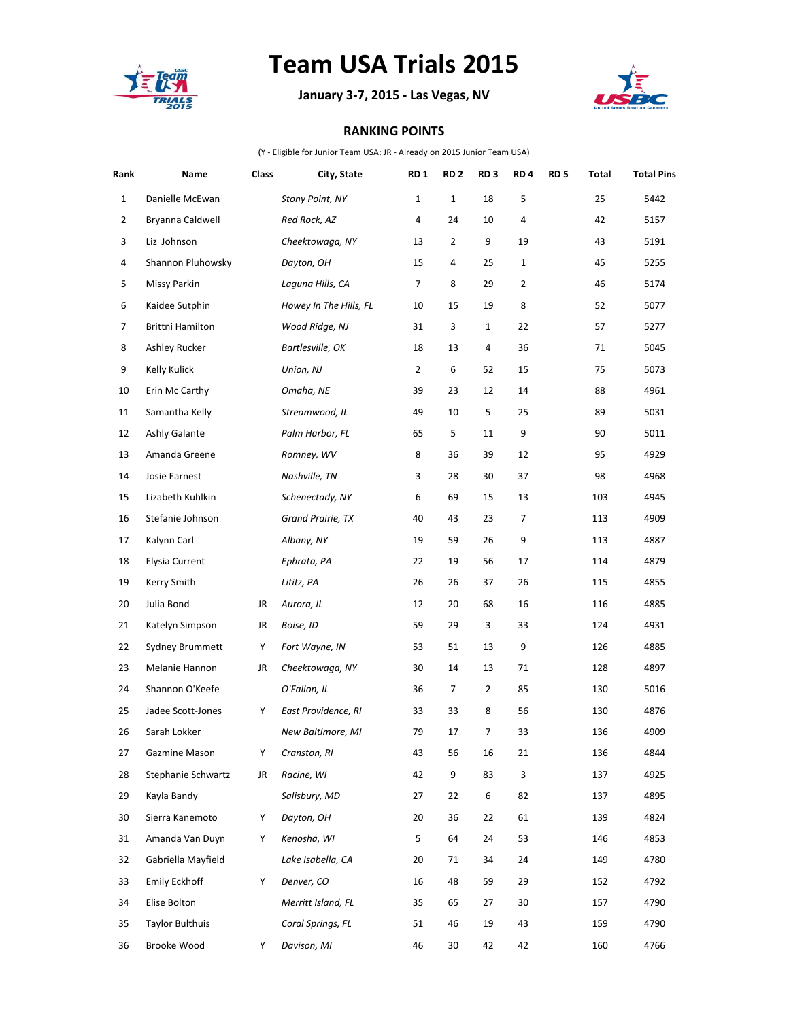

## **Team USA Trials 2015**

**January 3-7, 2015 - Las Vegas, NV**



## **RANKING POINTS**

(Y - Eligible for Junior Team USA; JR - Already on 2015 Junior Team USA)

| Rank           | Name                   | Class | City, State            | RD <sub>1</sub> | <b>RD 2</b>      | RD <sub>3</sub> | RD <sub>4</sub> | RD <sub>5</sub> | Total | <b>Total Pins</b> |
|----------------|------------------------|-------|------------------------|-----------------|------------------|-----------------|-----------------|-----------------|-------|-------------------|
| $\mathbf{1}$   | Danielle McEwan        |       | Stony Point, NY        | $\mathbf{1}$    | $\mathbf{1}$     | 18              | 5               |                 | 25    | 5442              |
| $\overline{2}$ | Bryanna Caldwell       |       | Red Rock, AZ           | 4               | 24               | 10              | 4               |                 | 42    | 5157              |
| 3              | Liz Johnson            |       | Cheektowaga, NY        | 13              | $\overline{2}$   | 9               | 19              |                 | 43    | 5191              |
| 4              | Shannon Pluhowsky      |       | Dayton, OH             | 15              | 4                | 25              | $\mathbf{1}$    |                 | 45    | 5255              |
| 5              | <b>Missy Parkin</b>    |       | Laguna Hills, CA       | 7               | 8                | 29              | $\overline{2}$  |                 | 46    | 5174              |
| 6              | Kaidee Sutphin         |       | Howey In The Hills, FL | 10              | 15               | 19              | 8               |                 | 52    | 5077              |
| 7              | Brittni Hamilton       |       | Wood Ridge, NJ         | 31              | 3                | $\mathbf{1}$    | 22              |                 | 57    | 5277              |
| 8              | Ashley Rucker          |       | Bartlesville, OK       | 18              | 13               | 4               | 36              |                 | 71    | 5045              |
| 9              | Kelly Kulick           |       | Union, NJ              | 2               | 6                | 52              | 15              |                 | 75    | 5073              |
| 10             | Erin Mc Carthy         |       | Omaha, NE              | 39              | 23               | 12              | 14              |                 | 88    | 4961              |
| 11             | Samantha Kelly         |       | Streamwood, IL         | 49              | 10               | 5               | 25              |                 | 89    | 5031              |
| 12             | Ashly Galante          |       | Palm Harbor, FL        | 65              | 5                | 11              | 9               |                 | 90    | 5011              |
| 13             | Amanda Greene          |       | Romney, WV             | 8               | 36               | 39              | 12              |                 | 95    | 4929              |
| 14             | Josie Earnest          |       | Nashville, TN          | 3               | 28               | 30              | 37              |                 | 98    | 4968              |
| 15             | Lizabeth Kuhlkin       |       | Schenectady, NY        | 6               | 69               | 15              | 13              |                 | 103   | 4945              |
| 16             | Stefanie Johnson       |       | Grand Prairie, TX      | 40              | 43               | 23              | 7               |                 | 113   | 4909              |
| 17             | Kalynn Carl            |       | Albany, NY             | 19              | 59               | 26              | 9               |                 | 113   | 4887              |
| 18             | Elysia Current         |       | Ephrata, PA            | 22              | 19               | 56              | 17              |                 | 114   | 4879              |
| 19             | Kerry Smith            |       | Lititz, PA             | 26              | 26               | 37              | 26              |                 | 115   | 4855              |
| 20             | Julia Bond             | JR    | Aurora, IL             | 12              | 20               | 68              | 16              |                 | 116   | 4885              |
| 21             | Katelyn Simpson        | JR    | Boise, ID              | 59              | 29               | 3               | 33              |                 | 124   | 4931              |
| 22             | Sydney Brummett        | Υ     | Fort Wayne, IN         | 53              | 51               | 13              | 9               |                 | 126   | 4885              |
| 23             | Melanie Hannon         | JR    | Cheektowaga, NY        | 30              | 14               | 13              | 71              |                 | 128   | 4897              |
| 24             | Shannon O'Keefe        |       | O'Fallon, IL           | 36              | 7                | $\overline{2}$  | 85              |                 | 130   | 5016              |
| 25             | Jadee Scott-Jones      | Υ     | East Providence, RI    | 33              | 33               | 8               | 56              |                 | 130   | 4876              |
| 26             | Sarah Lokker           |       | New Baltimore, MI      | 79              | 17               | 7               | 33              |                 | 136   | 4909              |
| 27             | Gazmine Mason          | Υ     | Cranston, RI           | 43              | 56               | 16              | 21              |                 | 136   | 4844              |
| 28             | Stephanie Schwartz     | JR    | Racine, WI             | 42              | $\boldsymbol{9}$ | 83              | 3               |                 | 137   | 4925              |
| 29             | Kayla Bandy            |       | Salisbury, MD          | 27              | 22               | 6               | 82              |                 | 137   | 4895              |
| 30             | Sierra Kanemoto        | Υ     | Dayton, OH             | 20              | 36               | 22              | 61              |                 | 139   | 4824              |
| 31             | Amanda Van Duyn        | Υ     | Kenosha, WI            | 5               | 64               | 24              | 53              |                 | 146   | 4853              |
| 32             | Gabriella Mayfield     |       | Lake Isabella, CA      | 20              | 71               | 34              | 24              |                 | 149   | 4780              |
| 33             | Emily Eckhoff          | Υ     | Denver, CO             | 16              | 48               | 59              | 29              |                 | 152   | 4792              |
| 34             | Elise Bolton           |       | Merritt Island, FL     | 35              | 65               | 27              | 30              |                 | 157   | 4790              |
| 35             | <b>Taylor Bulthuis</b> |       | Coral Springs, FL      | 51              | 46               | 19              | 43              |                 | 159   | 4790              |
| 36             | Brooke Wood            | Υ     | Davison, MI            | 46              | 30               | 42              | 42              |                 | 160   | 4766              |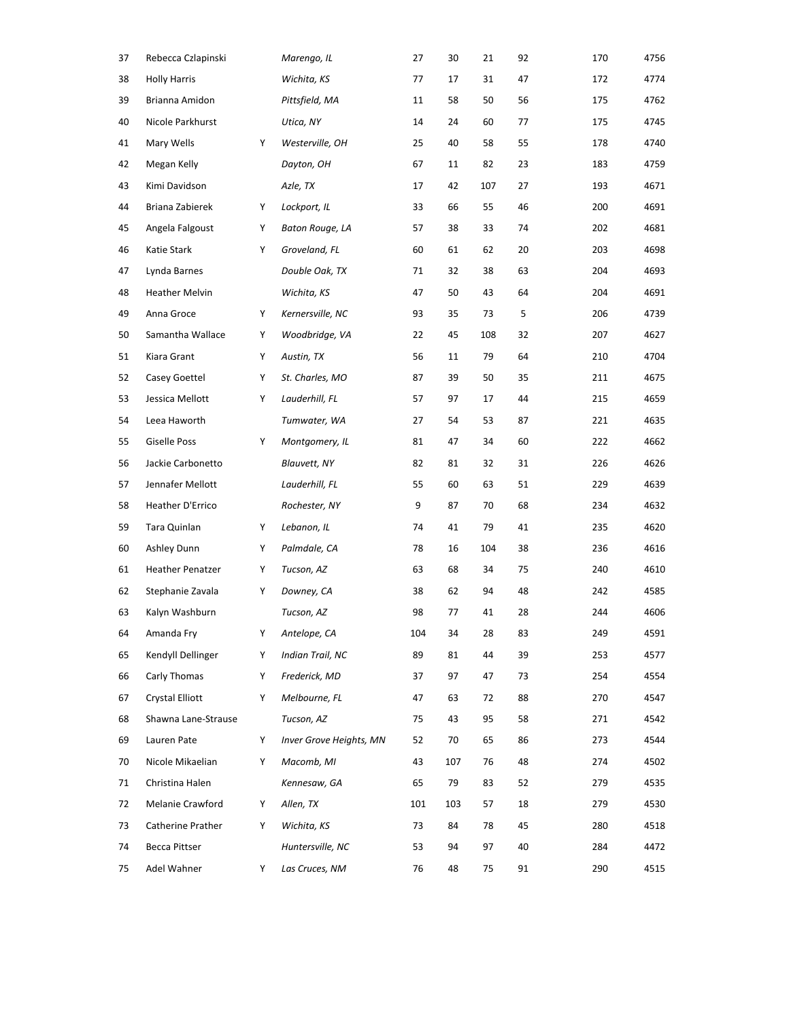|                         |   | Marengo, IL             | 27  | 30  | 21  | 92 | 170 | 4756 |
|-------------------------|---|-------------------------|-----|-----|-----|----|-----|------|
| <b>Holly Harris</b>     |   | Wichita, KS             | 77  | 17  | 31  | 47 | 172 | 4774 |
| Brianna Amidon          |   | Pittsfield, MA          | 11  | 58  | 50  | 56 | 175 | 4762 |
| Nicole Parkhurst        |   | Utica, NY               | 14  | 24  | 60  | 77 | 175 | 4745 |
| Mary Wells              | Υ | Westerville, OH         | 25  | 40  | 58  | 55 | 178 | 4740 |
| Megan Kelly             |   | Dayton, OH              | 67  | 11  | 82  | 23 | 183 | 4759 |
| Kimi Davidson           |   | Azle, TX                | 17  | 42  | 107 | 27 | 193 | 4671 |
| Briana Zabierek         | Υ | Lockport, IL            | 33  | 66  | 55  | 46 | 200 | 4691 |
| Angela Falgoust         | Υ | Baton Rouge, LA         | 57  | 38  | 33  | 74 | 202 | 4681 |
| Katie Stark             | Υ | Groveland, FL           | 60  | 61  | 62  | 20 | 203 | 4698 |
| Lynda Barnes            |   | Double Oak, TX          | 71  | 32  | 38  | 63 | 204 | 4693 |
| Heather Melvin          |   | Wichita, KS             | 47  | 50  | 43  | 64 | 204 | 4691 |
| Anna Groce              | Υ | Kernersville, NC        | 93  | 35  | 73  | 5  | 206 | 4739 |
| Samantha Wallace        | Υ | Woodbridge, VA          | 22  | 45  | 108 | 32 | 207 | 4627 |
| Kiara Grant             | Υ | Austin, TX              | 56  | 11  | 79  | 64 | 210 | 4704 |
| Casey Goettel           | Υ | St. Charles, MO         | 87  | 39  | 50  | 35 | 211 | 4675 |
| Jessica Mellott         | Υ | Lauderhill, FL          | 57  | 97  | 17  | 44 | 215 | 4659 |
| Leea Haworth            |   | Tumwater, WA            | 27  | 54  | 53  | 87 | 221 | 4635 |
| <b>Giselle Poss</b>     | Y | Montgomery, IL          | 81  | 47  | 34  | 60 | 222 | 4662 |
| Jackie Carbonetto       |   | <b>Blauvett, NY</b>     | 82  | 81  | 32  | 31 | 226 | 4626 |
| Jennafer Mellott        |   | Lauderhill, FL          | 55  | 60  | 63  | 51 | 229 | 4639 |
| Heather D'Errico        |   | Rochester, NY           | 9   | 87  | 70  | 68 | 234 | 4632 |
| Tara Quinlan            | Υ | Lebanon, IL             | 74  | 41  | 79  | 41 | 235 | 4620 |
| Ashley Dunn             | Υ | Palmdale, CA            | 78  | 16  | 104 | 38 | 236 | 4616 |
| <b>Heather Penatzer</b> | Υ | Tucson, AZ              | 63  | 68  | 34  | 75 | 240 | 4610 |
| Stephanie Zavala        | Υ | Downey, CA              | 38  | 62  | 94  | 48 | 242 | 4585 |
| Kalyn Washburn          |   | Tucson, AZ              | 98  | 77  | 41  | 28 | 244 | 4606 |
| Amanda Fry              | Υ | Antelope, CA            | 104 | 34  | 28  | 83 | 249 | 4591 |
| Kendyll Dellinger       | Υ | Indian Trail, NC        | 89  | 81  | 44  | 39 | 253 | 4577 |
| Carly Thomas            | Υ | Frederick, MD           | 37  | 97  | 47  | 73 | 254 | 4554 |
| Crystal Elliott         | Υ | Melbourne, FL           | 47  | 63  | 72  | 88 | 270 | 4547 |
| Shawna Lane-Strause     |   | Tucson, AZ              | 75  | 43  | 95  | 58 | 271 | 4542 |
| Lauren Pate             | Υ | Inver Grove Heights, MN | 52  | 70  | 65  | 86 | 273 | 4544 |
| Nicole Mikaelian        | Υ | Macomb, MI              | 43  | 107 | 76  | 48 | 274 | 4502 |
| Christina Halen         |   | Kennesaw, GA            | 65  | 79  | 83  | 52 | 279 | 4535 |
| Melanie Crawford        | Υ | Allen, TX               | 101 | 103 | 57  | 18 | 279 | 4530 |
| Catherine Prather       | Υ | Wichita, KS             | 73  | 84  | 78  | 45 | 280 | 4518 |
| Becca Pittser           |   | Huntersville, NC        | 53  | 94  | 97  | 40 | 284 | 4472 |
| Adel Wahner             | Υ | Las Cruces, NM          | 76  | 48  | 75  | 91 | 290 | 4515 |
|                         |   |                         |     |     |     |    |     |      |